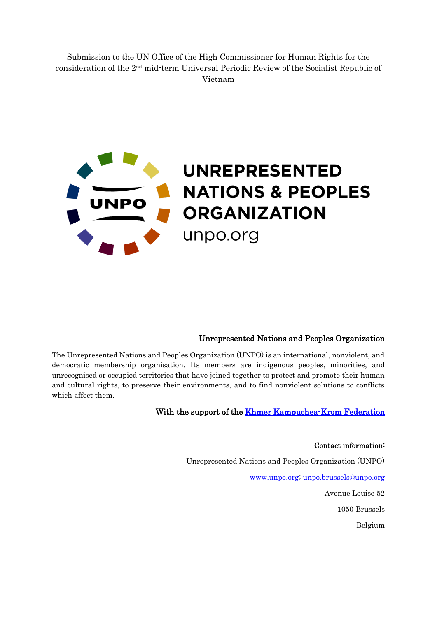

## Unrepresented Nations and Peoples Organization

The Unrepresented Nations and Peoples Organization (UNPO) is an international, nonviolent, and democratic membership organisation. Its members are indigenous peoples, minorities, and unrecognised or occupied territories that have joined together to protect and promote their human and cultural rights, to preserve their environments, and to find nonviolent solutions to conflicts which affect them.

#### With the support of the **Khmer Kampuchea-Krom Federation**

#### Contact information:

Unrepresented Nations and Peoples Organization (UNPO)

[www.unpo.org;](http://www.unpo.org/) [unpo.brussels@unpo.org](mailto:unpo.brussels@unpo.org)

Avenue Louise 52

1050 Brussels

Belgium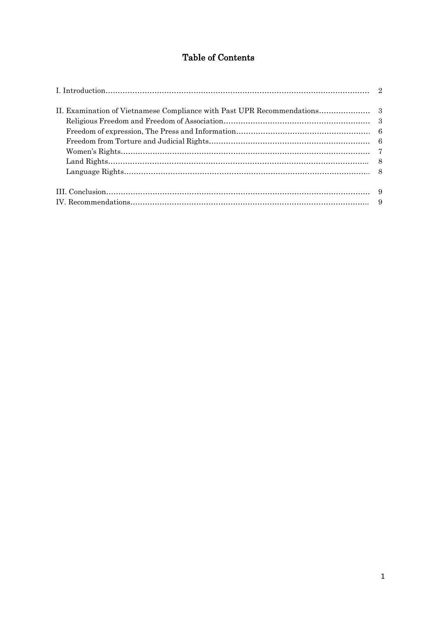# Table of Contents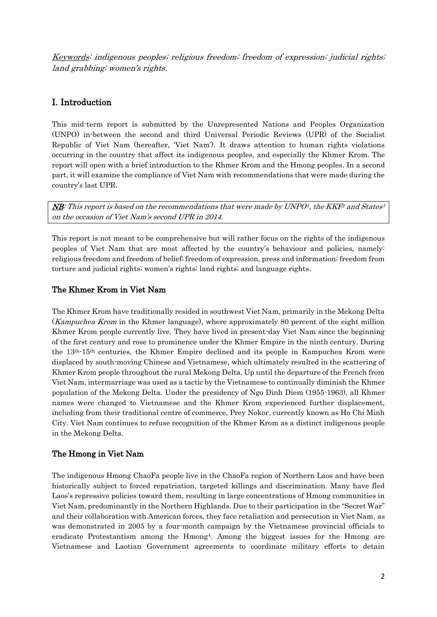Keywords: indigenous peoples; religious freedom; freedom of expression; judicial rights; land grabbing; women's rights.

## I. Introduction

This mid-term report is submitted by the Unrepresented Nations and Peoples Organization (UNPO) in-between the second and third Universal Periodic Reviews (UPR) of the Socialist Republic of Viet Nam (hereafter, 'Viet Nam'). It draws attention to human rights violations occurring in the country that affect its indigenous peoples, and especially the Khmer Krom. The report will open with a brief introduction to the Khmer Krom and the Hmong peoples. In a second part, it will examine the compliance of Viet Nam with recommendations that were made during the country's last UPR.

 $\overline{\text{MB}}$ : This report is based on the recommendations that were made by UNPO<sup>1</sup>, the KKF<sup>2</sup> and States<sup>3</sup> on the occasion of Viet Nam's second UPR in 2014.

This report is not meant to be comprehensive but will rather focus on the rights of the indigenous peoples of Viet Nam that are most affected by the country's behaviour and policies, namely: religious freedom and freedom of belief; freedom of expression, press and information; freedom from torture and judicial rights; women's rights; land rights; and language rights.

## The Khmer Krom in Viet Nam

The Khmer Krom have traditionally resided in southwest Viet Nam, primarily in the Mekong Delta (Kampuchea Krom in the Khmer language), where approximately 80 percent of the eight million Khmer Krom people currently live. They have lived in present-day Viet Nam since the beginning of the first century and rose to prominence under the Khmer Empire in the ninth century. During the 13th-15th centuries, the Khmer Empire declined and its people in Kampuchea Krom were displaced by south-moving Chinese and Vietnamese, which ultimately resulted in the scattering of Khmer Krom people throughout the rural Mekong Delta. Up until the departure of the French from Viet Nam, intermarriage was used as a tactic by the Vietnamese to continually diminish the Khmer population of the Mekong Delta. Under the presidency of Ngo Dinh Diem (1955-1963), all Khmer names were changed to Vietnamese and the Khmer Krom experienced further displacement, including from their traditional centre of commerce, Prey Nokor, currently known as Ho Chi Minh City. Viet Nam continues to refuse recognition of the Khmer Krom as a distinct indigenous people in the Mekong Delta.

## The Hmong in Viet Nam

The indigenous Hmong ChaoFa people live in the ChaoFa region of Northern Laos and have been historically subject to forced repatriation, targeted killings and discrimination. Many have fled Laos's repressive policies toward them, resulting in large concentrations of Hmong communities in Viet Nam, predominantly in the Northern Highlands. Due to their participation in the "Secret War" and their collaboration with American forces, they face retaliation and persecution in Viet Nam, as was demonstrated in 2005 by a four-month campaign by the Vietnamese provincial officials to eradicate Protestantism among the Hmong4. Among the biggest issues for the Hmong are Vietnamese and Laotian Government agreements to coordinate military efforts to detain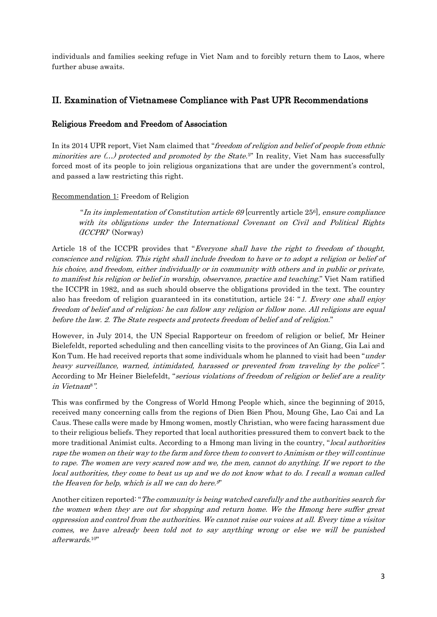individuals and families seeking refuge in Viet Nam and to forcibly return them to Laos, where further abuse awaits.

## II. Examination of Vietnamese Compliance with Past UPR Recommendations

### Religious Freedom and Freedom of Association

In its 2014 UPR report, Viet Nam claimed that "freedom of religion and belief of people from ethnic minorities are  $(...)$  protected and promoted by the State.<sup>5"</sup> In reality, Viet Nam has successfully forced most of its people to join religious organizations that are under the government's control, and passed a law restricting this right.

#### Recommendation 1: Freedom of Religion

"In its implementation of Constitution article 69 [currently article  $25<sup>6</sup>$ ], ensure compliance with its obligations under the International Covenant on Civil and Political Rights (ICCPR)" (Norway)

Article 18 of the ICCPR provides that "Everyone shall have the right to freedom of thought, conscience and religion. This right shall include freedom to have or to adopt a religion or belief of his choice, and freedom, either individually or in community with others and in public or private, to manifest his religion or belief in worship, observance, practice and teaching." Viet Nam ratified the ICCPR in 1982, and as such should observe the obligations provided in the text. The country also has freedom of religion guaranteed in its constitution, article 24: "1. Every one shall enjoy freedom of belief and of religion; he can follow any religion or follow none. All religions are equal before the law. 2. The State respects and protects freedom of belief and of religion."

However, in July 2014, the UN Special Rapporteur on freedom of religion or belief, Mr Heiner Bielefeldt, reported scheduling and then cancelling visits to the provinces of An Giang, Gia Lai and Kon Tum. He had received reports that some individuals whom he planned to visit had been "under heavy surveillance, warned, intimidated, harassed or prevented from traveling by the police<sup>r</sup>. According to Mr Heiner Bielefeldt, "serious violations of freedom of religion or belief are a reality in Vietnam8".

This was confirmed by the Congress of World Hmong People which, since the beginning of 2015, received many concerning calls from the regions of Dien Bien Phou, Moung Ghe, Lao Cai and La Caus. These calls were made by Hmong women, mostly Christian, who were facing harassment due to their religious beliefs. They reported that local authorities pressured them to convert back to the more traditional Animist cults. According to a Hmong man living in the country, "local authorities rape the women on their way to the farm and force them to convert to Animism or they will continue to rape. The women are very scared now and we, the men, cannot do anything. If we report to the local authorities, they come to beat us up and we do not know what to do. I recall a woman called the Heaven for help, which is all we can do here. 9"

Another citizen reported: "The community is being watched carefully and the authorities search for the women when they are out for shopping and return home. We the Hmong here suffer great oppression and control from the authorities. We cannot raise our voices at all. Every time a visitor comes, we have already been told not to say anything wrong or else we will be punished afterwards. 10"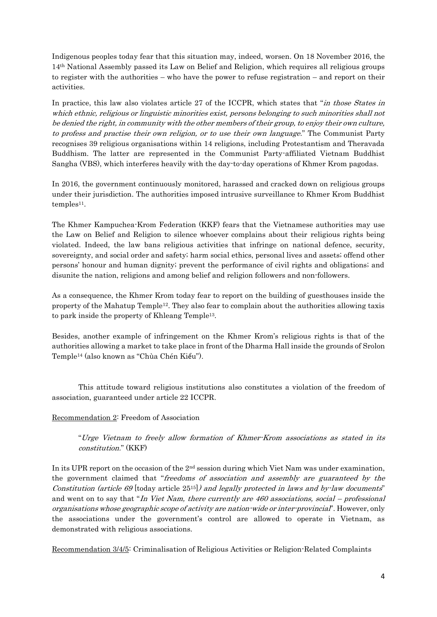Indigenous peoples today fear that this situation may, indeed, worsen. On 18 November 2016, the 14th National Assembly passed its Law on Belief and Religion, which requires all religious groups to register with the authorities – who have the power to refuse registration – and report on their activities.

In practice, this law also violates article 27 of the ICCPR, which states that "in those States in which ethnic, religious or linguistic minorities exist, persons belonging to such minorities shall not be denied the right, in community with the other members of their group, to enjoy their own culture, to profess and practise their own religion, or to use their own language." The Communist Party recognises 39 religious organisations within 14 religions, including Protestantism and Theravada Buddhism. The latter are represented in the Communist Party-affiliated Vietnam Buddhist Sangha (VBS), which interferes heavily with the day-to-day operations of Khmer Krom pagodas.

In 2016, the government continuously monitored, harassed and cracked down on religious groups under their jurisdiction. The authorities imposed intrusive surveillance to Khmer Krom Buddhist  $temples<sup>11</sup>$ .

The Khmer Kampuchea-Krom Federation (KKF) fears that the Vietnamese authorities may use the Law on Belief and Religion to silence whoever complains about their religious rights being violated. Indeed, the law bans religious activities that infringe on national defence, security, sovereignty, and social order and safety; harm social ethics, personal lives and assets; offend other persons' honour and human dignity; prevent the performance of civil rights and obligations; and disunite the nation, religions and among belief and religion followers and non-followers.

As a consequence, the Khmer Krom today fear to report on the building of guesthouses inside the property of the Mahatup Temple12. They also fear to complain about the authorities allowing taxis to park inside the property of Khleang Temple13.

Besides, another example of infringement on the Khmer Krom's religious rights is that of the authorities allowing a market to take place in front of the Dharma Hall inside the grounds of Srolon Temple<sup>14</sup> (also known as "Chùa Chén Kiểu").

This attitude toward religious institutions also constitutes a violation of the freedom of association, guaranteed under article 22 ICCPR.

#### Recommendation 2: Freedom of Association

"Urge Vietnam to freely allow formation of Khmer-Krom associations as stated in its constitution." (KKF)

In its UPR report on the occasion of the 2nd session during which Viet Nam was under examination, the government claimed that "freedoms of association and assembly are guaranteed by the Constitution (article 69 [today article  $25^{15}$ ]) and legally protected in laws and by-law documents" and went on to say that "In Viet Nam, there currently are 460 associations, social – professional organisations whose geographic scope of activity are nation-wide or inter-provincial". However, only the associations under the government's control are allowed to operate in Vietnam, as demonstrated with religious associations.

Recommendation 3/4/5: Criminalisation of Religious Activities or Religion-Related Complaints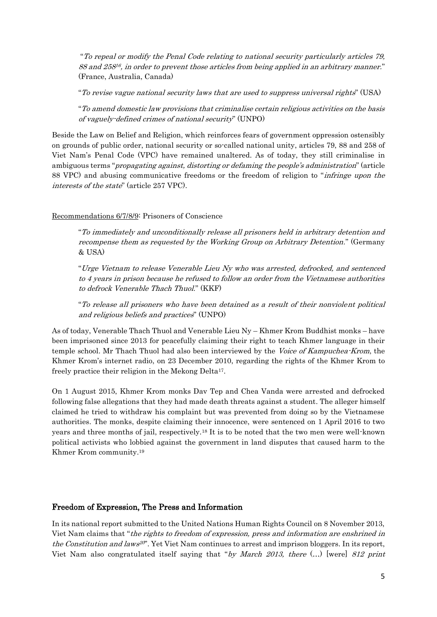"To repeal or modify the Penal Code relating to national security particularly articles 79, 88 and 25816, in order to prevent those articles from being applied in an arbitrary manner." (France, Australia, Canada)

"To revise vague national security laws that are used to suppress universal rights" (USA)

"To amend domestic law provisions that criminalise certain religious activities on the basis of vaguely-defined crimes of national security" (UNPO)

Beside the Law on Belief and Religion, which reinforces fears of government oppression ostensibly on grounds of public order, national security or so-called national unity, articles 79, 88 and 258 of Viet Nam's Penal Code (VPC) have remained unaltered. As of today, they still criminalise in ambiguous terms "*propagating against, distorting or defaming the people's administration*" (article 88 VPC) and abusing communicative freedoms or the freedom of religion to "infringe upon the interests of the state" (article 257 VPC).

#### Recommendations 6/7/8/9: Prisoners of Conscience

"To immediately and unconditionally release all prisoners held in arbitrary detention and recompense them as requested by the Working Group on Arbitrary Detention." (Germany & USA)

"Urge Vietnam to release Venerable Lieu Ny who was arrested, defrocked, and sentenced to 4 years in prison because he refused to follow an order from the Vietnamese authorities to defrock Venerable Thach Thuol." (KKF)

"To release all prisoners who have been detained as a result of their nonviolent political and religious beliefs and practices" (UNPO)

As of today, Venerable Thach Thuol and Venerable Lieu Ny – Khmer Krom Buddhist monks – have been imprisoned since 2013 for peacefully claiming their right to teach Khmer language in their temple school. Mr Thach Thuol had also been interviewed by the *Voice of Kampuchea-Krom*, the Khmer Krom's internet radio, on 23 December 2010, regarding the rights of the Khmer Krom to freely practice their religion in the Mekong Delta17.

On 1 August 2015, Khmer Krom monks Dav Tep and Chea Vanda were arrested and defrocked following false allegations that they had made death threats against a student. The alleger himself claimed he tried to withdraw his complaint but was prevented from doing so by the Vietnamese authorities. The monks, despite claiming their innocence, were sentenced on 1 April 2016 to two years and three months of jail, respectively.<sup>18</sup> It is to be noted that the two men were well-known political activists who lobbied against the government in land disputes that caused harm to the Khmer Krom community. 19

#### Freedom of Expression, The Press and Information

In its national report submitted to the United Nations Human Rights Council on 8 November 2013, Viet Nam claims that "the rights to freedom of expression, press and information are enshrined in the Constitution and laws<sup>20</sup>'. Yet Viet Nam continues to arrest and imprison bloggers. In its report, Viet Nam also congratulated itself saying that "by March 2013, there (…) [were] 812 print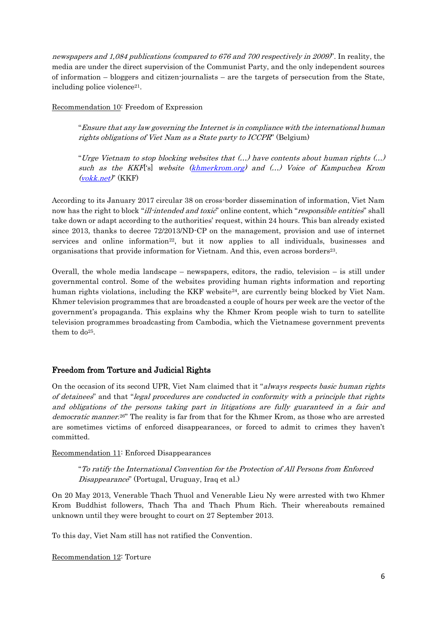newspapers and 1,084 publications (compared to 676 and 700 respectively in 2009)". In reality, the media are under the direct supervision of the Communist Party, and the only independent sources of information – bloggers and citizen-journalists – are the targets of persecution from the State, including police violence<sup>21</sup>.

Recommendation 10: Freedom of Expression

"Ensure that any law governing the Internet is in compliance with the international human rights obligations of Viet Nam as a State party to ICCPR" (Belgium)

"Urge Vietnam to stop blocking websites that (…) have contents about human rights (…) such as the KKF('s) website [\(khmerkrom.org\)](http://khmerkrom.org/) and (...) Voice of Kampuchea Krom  $(vokk.net)'$  $(vokk.net)'$  (KKF)

According to its January 2017 circular 38 on cross-border dissemination of information, Viet Nam now has the right to block "ill-intended and toxic" online content, which "responsible entities" shall take down or adapt according to the authorities' request, within 24 hours. This ban already existed since 2013, thanks to decree 72/2013/ND-CP on the management, provision and use of internet services and online information<sup>22</sup>, but it now applies to all individuals, businesses and organisations that provide information for Vietnam. And this, even across borders <sup>23</sup>.

Overall, the whole media landscape – newspapers, editors, the radio, television – is still under governmental control. Some of the websites providing human rights information and reporting human rights violations, including the KKF website<sup>24</sup>, are currently being blocked by Viet Nam. Khmer television programmes that are broadcasted a couple of hours per week are the vector of the government's propaganda. This explains why the Khmer Krom people wish to turn to satellite television programmes broadcasting from Cambodia, which the Vietnamese government prevents them to do<sup>25</sup>.

## Freedom from Torture and Judicial Rights

On the occasion of its second UPR, Viet Nam claimed that it "always respects basic human rights" of detainees" and that "legal procedures are conducted in conformity with a principle that rights and obligations of the persons taking part in litigations are fully guaranteed in a fair and democratic manner.<sup>26"</sup> The reality is far from that for the Khmer Krom, as those who are arrested are sometimes victims of enforced disappearances, or forced to admit to crimes they haven't committed.

Recommendation 11: Enforced Disappearances

"To ratify the International Convention for the Protection of All Persons from Enforced Disappearance" (Portugal, Uruguay, Iraq et al.)

On 20 May 2013, Venerable Thach Thuol and Venerable Lieu Ny were arrested with two Khmer Krom Buddhist followers, Thach Tha and Thach Phum Rich. Their whereabouts remained unknown until they were brought to court on 27 September 2013.

To this day, Viet Nam still has not ratified the Convention.

Recommendation 12: Torture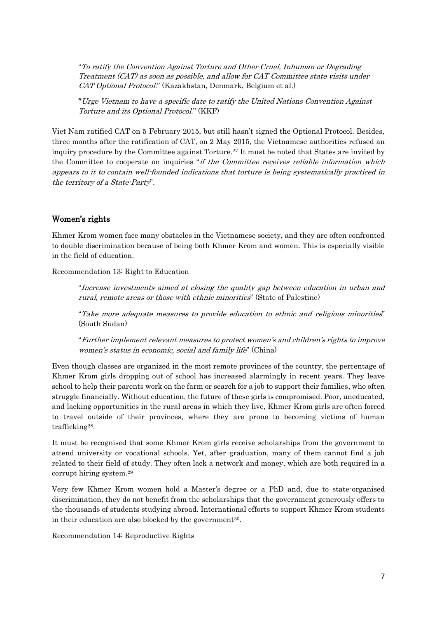"To ratify the Convention Against Torture and Other Cruel, Inhuman or Degrading Treatment (CAT) as soon as possible, and allow for CAT Committee state visits under CAT Optional Protocol." (Kazakhstan, Denmark, Belgium et al.)

"Urge Vietnam to have a specific date to ratify the United Nations Convention Against Torture and its Optional Protocol." (KKF)

Viet Nam ratified CAT on 5 February 2015, but still hasn't signed the Optional Protocol. Besides, three months after the ratification of CAT, on 2 May 2015, the Vietnamese authorities refused an inquiry procedure by the Committee against Torture. <sup>27</sup> It must be noted that States are invited by the Committee to cooperate on inquiries "if the Committee receives reliable information which appears to it to contain well-founded indications that torture is being systematically practiced in the territory of a State-Party".

## Women's rights

Khmer Krom women face many obstacles in the Vietnamese society, and they are often confronted to double discrimination because of being both Khmer Krom and women. This is especially visible in the field of education.

Recommendation 13: Right to Education

"Increase investments aimed at closing the quality gap between education in urban and rural, remote areas or those with ethnic minorities" (State of Palestine)

"Take more adequate measures to provide education to ethnic and religious minorities" (South Sudan)

"Further implement relevant measures to protect women's and children's rights to improve women's status in economic, social and family life" (China)

Even though classes are organized in the most remote provinces of the country, the percentage of Khmer Krom girls dropping out of school has increased alarmingly in recent years. They leave school to help their parents work on the farm or search for a job to support their families, who often struggle financially. Without education, the future of these girls is compromised. Poor, uneducated, and lacking opportunities in the rural areas in which they live, Khmer Krom girls are often forced to travel outside of their provinces, where they are prone to becoming victims of human trafficking28.

It must be recognised that some Khmer Krom girls receive scholarships from the government to attend university or vocational schools. Yet, after graduation, many of them cannot find a job related to their field of study. They often lack a network and money, which are both required in a corrupt hiring system. 29

Very few Khmer Krom women hold a Master's degree or a PhD and, due to state-organised discrimination, they do not benefit from the scholarships that the government generously offers to the thousands of students studying abroad. International efforts to support Khmer Krom students in their education are also blocked by the government<sup>30</sup>.

Recommendation 14: Reproductive Rights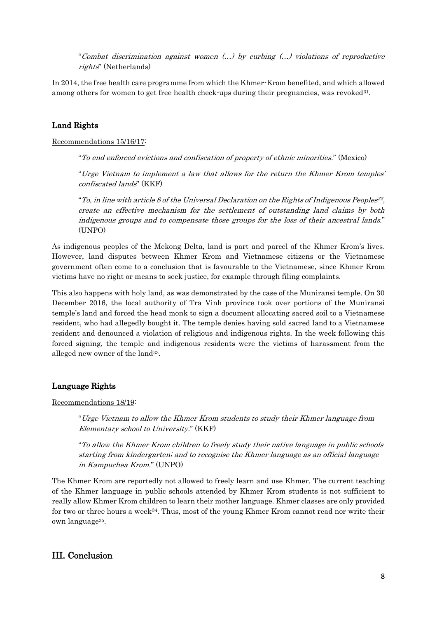"Combat discrimination against women (…) by curbing (…) violations of reproductive rights" (Netherlands)

In 2014, the free health care programme from which the Khmer-Krom benefited, and which allowed among others for women to get free health check-ups during their pregnancies, was revoked<sup>31</sup>.

## Land Rights

Recommendations 15/16/17:

"To end enforced evictions and confiscation of property of ethnic minorities." (Mexico)

"Urge Vietnam to implement a law that allows for the return the Khmer Krom temples' confiscated lands" (KKF)

"To, in line with article 8 of the Universal Declaration on the Rights of Indigenous Peoples $^{32},$ create an effective mechanism for the settlement of outstanding land claims by both indigenous groups and to compensate those groups for the loss of their ancestral lands." (UNPO)

As indigenous peoples of the Mekong Delta, land is part and parcel of the Khmer Krom's lives. However, land disputes between Khmer Krom and Vietnamese citizens or the Vietnamese government often come to a conclusion that is favourable to the Vietnamese, since Khmer Krom victims have no right or means to seek justice, for example through filing complaints.

This also happens with holy land, as was demonstrated by the case of the Muniransi temple. On 30 December 2016, the local authority of Tra Vinh province took over portions of the Muniransi temple's land and forced the head monk to sign a document allocating sacred soil to a Vietnamese resident, who had allegedly bought it. The temple denies having sold sacred land to a Vietnamese resident and denounced a violation of religious and indigenous rights. In the week following this forced signing, the temple and indigenous residents were the victims of harassment from the alleged new owner of the land<sup>33</sup>.

#### Language Rights

Recommendations 18/19:

"Urge Vietnam to allow the Khmer Krom students to study their Khmer language from Elementary school to University." (KKF)

"To allow the Khmer Krom children to freely study their native language in public schools starting from kindergarten; and to recognise the Khmer language as an official language in Kampuchea Krom." (UNPO)

The Khmer Krom are reportedly not allowed to freely learn and use Khmer. The current teaching of the Khmer language in public schools attended by Khmer Krom students is not sufficient to really allow Khmer Krom children to learn their mother language. Khmer classes are only provided for two or three hours a week<sup>34</sup>. Thus, most of the young Khmer Krom cannot read nor write their own language35.

## III. Conclusion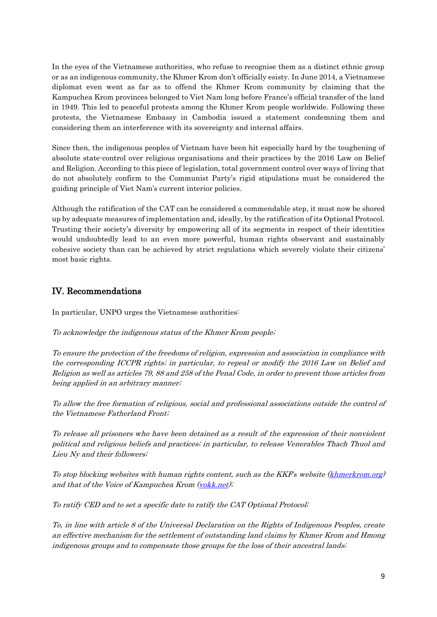In the eyes of the Vietnamese authorities, who refuse to recognise them as a distinct ethnic group or as an indigenous community, the Khmer Krom don't officially esisty. In June 2014, a Vietnamese diplomat even went as far as to offend the Khmer Krom community by claiming that the Kampuchea Krom provinces belonged to Viet Nam long before France's official transfer of the land in 1949. This led to peaceful protests among the Khmer Krom people worldwide. Following these protests, the Vietnamese Embassy in Cambodia issued a statement condemning them and considering them an interference with its sovereignty and internal affairs.

Since then, the indigenous peoples of Vietnam have been hit especially hard by the toughening of absolute state-control over religious organisations and their practices by the 2016 Law on Belief and Religion. According to this piece of legislation, total government control over ways of living that do not absolutely confirm to the Communist Party's rigid stipulations must be considered the guiding principle of Viet Nam's current interior policies.

Although the ratification of the CAT can be considered a commendable step, it must now be shored up by adequate measures of implementation and, ideally, by the ratification of its Optional Protocol. Trusting their society's diversity by empowering all of its segments in respect of their identities would undoubtedly lead to an even more powerful, human rights observant and sustainably cohesive society than can be achieved by strict regulations which severely violate their citizens' most basic rights.

## IV. Recommendations

In particular, UNPO urges the Vietnamese authorities:

To acknowledge the indigenous status of the Khmer Krom people;

To ensure the protection of the freedoms of religion, expression and association in compliance with the corresponding ICCPR rights; in particular, to repeal or modify the 2016 Law on Belief and Religion as well as articles 79, 88 and 258 of the Penal Code, in order to prevent those articles from being applied in an arbitrary manner;

To allow the free formation of religious, social and professional associations outside the control of the Vietnamese Fatherland Front;

To release all prisoners who have been detained as a result of the expression of their nonviolent political and religious beliefs and practices; in particular, to release Venerables Thach Thuol and Lieu Ny and their followers;

To stop blocking websites with human rights content, such as the KKF's website [\(khmerkrom.org\)](http://khmerkrom.org/) and that of the Voice of Kampuchea Krom [\(vokk.net\)](http://vokk.net/);

To ratify CED and to set a specific date to ratify the CAT Optional Protocol;

To, in line with article 8 of the Universal Declaration on the Rights of Indigenous Peoples, create an effective mechanism for the settlement of outstanding land claims by Khmer Krom and Hmong indigenous groups and to compensate those groups for the loss of their ancestral lands;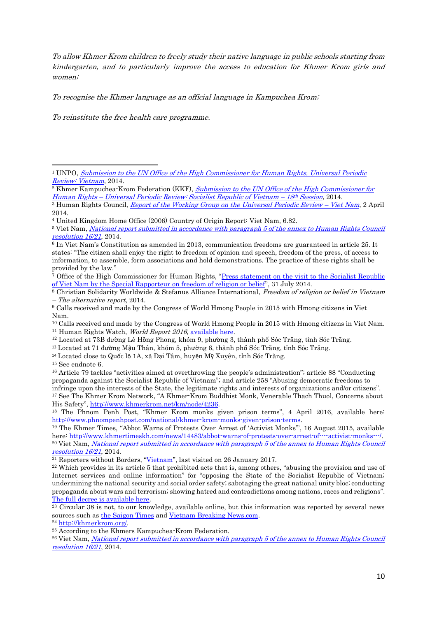To allow Khmer Krom children to freely study their native language in public schools starting from kindergarten, and to particularly improve the access to education for Khmer Krom girls and women;

To recognise the Khmer language as an official language in Kampuchea Krom;

To reinstitute the free health care programme.

<sup>15</sup> See endnote 6.

1

<sup>&</sup>lt;sup>1</sup> UNPO, Submission to the UN Office of the High Commissioner for Human Rights, Universal Periodic [Review: Vietnam](http://unpo.org/downloads/796.pdf), 2014.

<sup>&</sup>lt;sup>2</sup> Khmer Kampuchea-Krom Federation (KKF), Submission to the UN Office of the High Commissioner for Human Rights – [Universal Periodic Review: Socialist Republic of Vietnam](http://unpo.org/downloads/797.pdf) – 18 th Session, 2014.

<sup>&</sup>lt;sup>3</sup> Human Rights Council, *[Report of the Working Group on the Universal Periodic Review](http://www.ohchr.org/EN/HRBodies/UPR/Pages/VNSession18.aspx) – Viet Nam*, 2 April 2014.

<sup>4</sup> United Kingdom Home Office (2006) Country of Origin Report: Viet Nam, 6.82.

<sup>5</sup> Viet Nam, [National report submitted in accordance with paragraph 5 of the annex to Human Rights Council](http://www.refworld.org/docid/52f1fbdc4.html)  [resolution 16/21](http://www.refworld.org/docid/52f1fbdc4.html), 2014.

<sup>6</sup> In Viet Nam's Constitution as amended in 2013, communication freedoms are guaranteed in article 25. It states: "The citizen shall enjoy the right to freedom of opinion and speech, freedom of the press, of access to information, to assemble, form associations and hold demonstrations. The practice of these rights shall be provided by the law."

<sup>&</sup>lt;sup>7</sup> Office of the High Commissioner for Human Rights, "Press statement on the visit to the Socialist Republic [of Viet Nam by the Special Rapporteur on freedom of religion or belief](http://www.ohchr.org/en/NewsEvents/Pages/DisplayNews.aspx?NewsID=14914&LangID=E)", 31 July 2014.

<sup>8</sup> Christian Solidarity Worldwide & Stefanus Alliance International, Freedom of religion or belief in Vietnam – The alternative report, 2014.

<sup>9</sup> Calls received and made by the Congress of World Hmong People in 2015 with Hmong citizens in Viet Nam.

<sup>10</sup> Calls received and made by the Congress of World Hmong People in 2015 with Hmong citizens in Viet Nam. <sup>11</sup> Human Rights Watch, *World Report 2016*, [available here.](https://www.hrw.org/world-report/2017/country-chapters/vietnam)

<sup>12</sup> Located at 73B đường Lê Hồng Phong, khóm 9, phường 3, thành phố Sóc Trăng, tỉnh Sóc Trăng.

<sup>13</sup> Located at 71 đường Mậu Thân, khóm 5, phường 6, thành phố Sóc Trăng, tỉnh Sóc Trăng.

<sup>14</sup> Located close to Quốc lộ 1A, xã Đại Tâm, huyện Mỹ Xuyên, tỉnh Sóc Trăng.

<sup>16</sup> Article 79 tackles "activities aimed at overthrowing the people's administration"; article 88 "Conducting propaganda against the Socialist Republic of Vietnam"; and article 258 "Abusing democratic freedoms to infringe upon the interests of the State, the legitimate rights and interests of organizations and/or citizens". <sup>17</sup> See The Khmer Krom Network, "A Khmer-Krom Buddhist Monk, Venerable Thach Thuol, Concerns about His Safety", [http://www.khmerkrom.net/km/node/4236.](http://www.khmerkrom.net/km/node/4236)

<sup>18</sup> The Phnom Penh Post, "Khmer Krom monks given prison terms", 4 April 2016, available here: [http://www.phnompenhpost.com/national/khmer-krom-monks-given-prison-terms.](http://www.phnompenhpost.com/national/khmer-krom-monks-given-prison-terms)

<sup>19</sup> The Khmer Times, "Abbot Warns of Protests Over Arrest of 'Activist Monks'", 16 August 2015, available here: [http://www.khmertimeskh.com/news/14483/abbot-warns-of-protests-over-arrest-of----activist-monks---/.](http://www.khmertimeskh.com/news/14483/abbot-warns-of-protests-over-arrest-of----activist-monks---/) <sup>20</sup> Viet Nam, *National report submitted in accordance with paragraph 5 of the annex to Human Rights Council* [resolution 16/21](http://www.refworld.org/docid/52f1fbdc4.html), 2014.

<sup>&</sup>lt;sup>21</sup> Reporters without Borders, "[Vietnam](https://rsf.org/en/vietnam)", last visited on 26 January 2017.

<sup>&</sup>lt;sup>22</sup> Which provides in its article 5 that prohibited acts that is, among others, "abusing the provision and use of Internet services and online information" for "opposing the State of the Socialist Republic of Vietnam; undermining the national security and social order safety; sabotaging the great national unity bloc; conducting propaganda about wars and terrorism; showing hatred and contradictions among nations, races and religions". [The full decree is available here.](https://vnnic.vn/sites/default/files/vanban/Decree%20No72-2013-ND-CP.PDF)

 $23$  Circular 38 is not, to our knowledge, available online, but this information was reported by several news sources such a[s the Saigon Times](http://english.thesaigontimes.vn/52059/VN-to-block-harmful-news.html) an[d Vietnam Breaking News.com.](https://m.vietnambreakingnews.com/2017/01/vietnam-reserves-right-to-block-toxic-internet-content-circular/)

<sup>24</sup> [http://khmerkrom.org/.](http://khmerkrom.org/)

<sup>25</sup> According to the Khmers Kampuchea-Krom Federation.

<sup>&</sup>lt;sup>26</sup> Viet Nam, *National report submitted in accordance with paragraph 5 of the annex to Human Rights Council* [resolution 16/21](http://www.refworld.org/docid/52f1fbdc4.html), 2014.